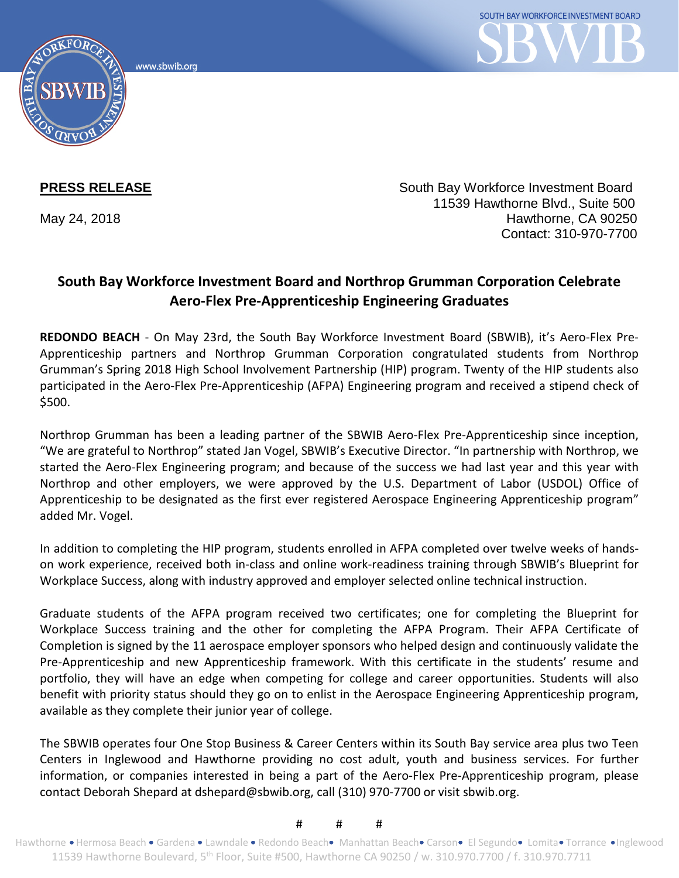www.sbwib.org



**PRESS RELEASE** South Bay Workforce Investment Board 11539 Hawthorne Blvd., Suite 500 May 24, 2018 **Hawthorne, CA 90250** Contact: 310-970-7700

## **South Bay Workforce Investment Board and Northrop Grumman Corporation Celebrate Aero-Flex Pre-Apprenticeship Engineering Graduates**

**REDONDO BEACH** - On May 23rd, the South Bay Workforce Investment Board (SBWIB), it's Aero-Flex Pre-Apprenticeship partners and Northrop Grumman Corporation congratulated students from Northrop Grumman's Spring 2018 High School Involvement Partnership (HIP) program. Twenty of the HIP students also participated in the Aero-Flex Pre-Apprenticeship (AFPA) Engineering program and received a stipend check of \$500.

Northrop Grumman has been a leading partner of the SBWIB Aero-Flex Pre-Apprenticeship since inception, "We are grateful to Northrop" stated Jan Vogel, SBWIB's Executive Director. "In partnership with Northrop, we started the Aero-Flex Engineering program; and because of the success we had last year and this year with Northrop and other employers, we were approved by the U.S. Department of Labor (USDOL) Office of Apprenticeship to be designated as the first ever registered Aerospace Engineering Apprenticeship program" added Mr. Vogel.

In addition to completing the HIP program, students enrolled in AFPA completed over twelve weeks of handson work experience, received both in-class and online work-readiness training through SBWIB's Blueprint for Workplace Success, along with industry approved and employer selected online technical instruction.

Graduate students of the AFPA program received two certificates; one for completing the Blueprint for Workplace Success training and the other for completing the AFPA Program. Their AFPA Certificate of Completion is signed by the 11 aerospace employer sponsors who helped design and continuously validate the Pre-Apprenticeship and new Apprenticeship framework. With this certificate in the students' resume and portfolio, they will have an edge when competing for college and career opportunities. Students will also benefit with priority status should they go on to enlist in the Aerospace Engineering Apprenticeship program, available as they complete their junior year of college.

The SBWIB operates four One Stop Business & Career Centers within its South Bay service area plus two Teen Centers in Inglewood and Hawthorne providing no cost adult, youth and business services. For further information, or companies interested in being a part of the Aero-Flex Pre-Apprenticeship program, please contact Deborah Shepard at dshepard@sbwib.org, call (310) 970-7700 or visit sbwib.org.

## # # #